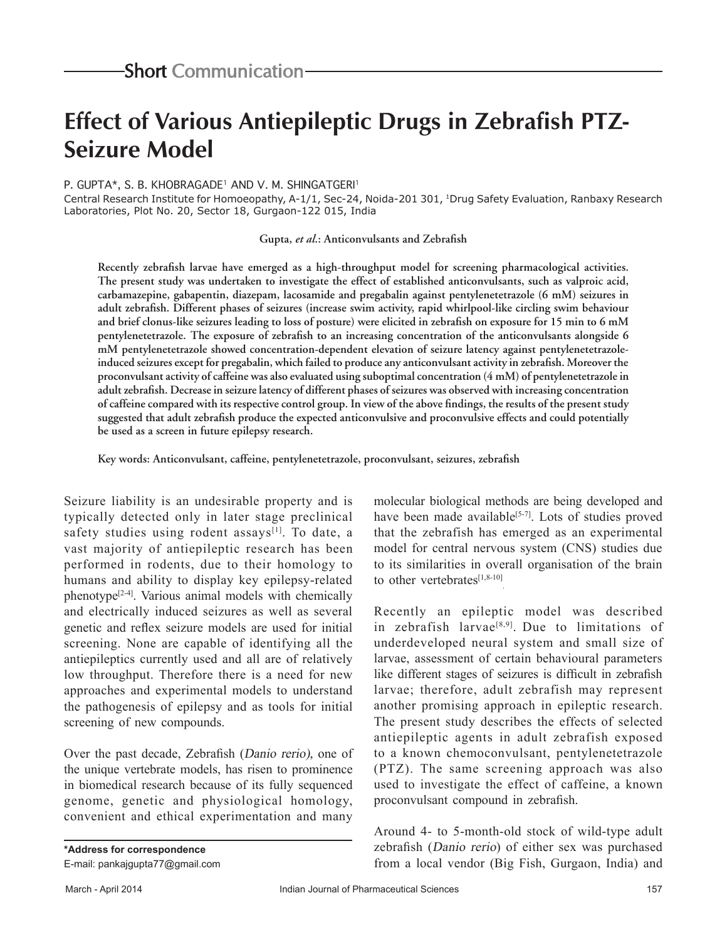## **Effect of Various Antiepileptic Drugs in Zebrafish PTZ-Seizure Model**

## P. GUPTA\*, S. B. KHOBRAGADE<sup>1</sup> AND V. M. SHINGATGERI<sup>1</sup>

Central Research Institute for Homoeopathy, A-1/1, Sec-24, Noida-201 301, 1Drug Safety Evaluation, Ranbaxy Research Laboratories, Plot No. 20, Sector 18, Gurgaon-122 015, India

**Gupta,** *et al***.: Anticonvulsants and Zebrafish**

**Recently zebrafish larvae have emerged as a high-throughput model for screening pharmacological activities. The present study was undertaken to investigate the effect of established anticonvulsants, such as valproic acid, carbamazepine, gabapentin, diazepam, lacosamide and pregabalin against pentylenetetrazole (6 mM) seizures in adult zebrafish. Different phases of seizures (increase swim activity, rapid whirlpool-like circling swim behaviour and brief clonus-like seizures leading to loss of posture) were elicited in zebrafish on exposure for 15 min to 6 mM pentylenetetrazole. The exposure of zebrafish to an increasing concentration of the anticonvulsants alongside 6 mM pentylenetetrazole showed concentration-dependent elevation of seizure latency against pentylenetetrazoleinduced seizures except for pregabalin, which failed to produce any anticonvulsant activity in zebrafish. Moreover the proconvulsant activity of caffeine was also evaluated using suboptimal concentration (4 mM) of pentylenetetrazole in adult zebrafish. Decrease in seizure latency of different phases of seizures was observed with increasing concentration of caffeine compared with its respective control group. In view of the above findings, the results of the present study suggested that adult zebrafish produce the expected anticonvulsive and proconvulsive effects and could potentially be used as a screen in future epilepsy research.**

**Key words: Anticonvulsant, caffeine, pentylenetetrazole, proconvulsant, seizures, zebrafish**

Seizure liability is an undesirable property and is typically detected only in later stage preclinical safety studies using rodent assays $[1]$ . To date, a vast majority of antiepileptic research has been performed in rodents, due to their homology to humans and ability to display key epilepsy-related phenotype[2-4]. Various animal models with chemically and electrically induced seizures as well as several genetic and reflex seizure models are used for initial screening. None are capable of identifying all the antiepileptics currently used and all are of relatively low throughput. Therefore there is a need for new approaches and experimental models to understand the pathogenesis of epilepsy and as tools for initial screening of new compounds.

Over the past decade, Zebrafish (Danio rerio), one of the unique vertebrate models, has risen to prominence in biomedical research because of its fully sequenced genome, genetic and physiological homology, convenient and ethical experimentation and many

molecular biological methods are being developed and have been made available<sup>[5-7]</sup>. Lots of studies proved that the zebrafish has emerged as an experimental model for central nervous system (CNS) studies due to its similarities in overall organisation of the brain to other vertebrates $[1,8-10]$ 

Recently an epileptic model was described in zebrafish larvae<sup>[8,9]</sup>. Due to limitations of underdeveloped neural system and small size of larvae, assessment of certain behavioural parameters like different stages of seizures is difficult in zebrafish larvae; therefore, adult zebrafish may represent another promising approach in epileptic research. The present study describes the effects of selected antiepileptic agents in adult zebrafish exposed to a known chemoconvulsant, pentylenetetrazole (PTZ). The same screening approach was also used to investigate the effect of caffeine, a known proconvulsant compound in zebrafish.

Around 4- to 5-month-old stock of wild-type adult zebrafish (Danio rerio) of either sex was purchased from a local vendor (Big Fish, Gurgaon, India) and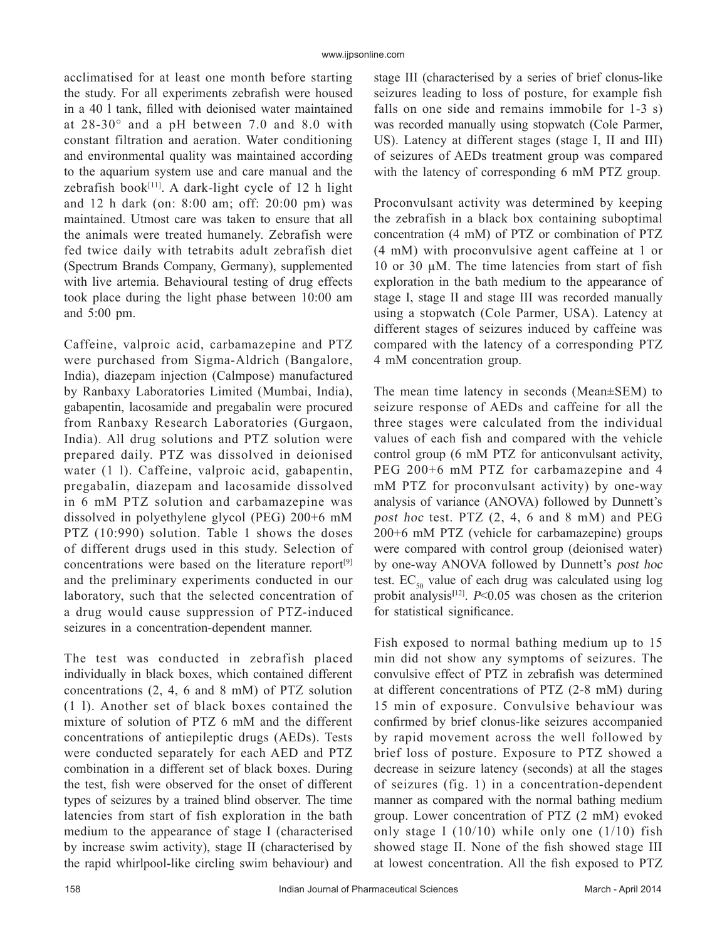acclimatised for at least one month before starting the study. For all experiments zebrafish were housed in a 40 l tank, filled with deionised water maintained at 28-30° and a pH between 7.0 and 8.0 with constant filtration and aeration. Water conditioning and environmental quality was maintained according to the aquarium system use and care manual and the zebrafish book $[11]$ . A dark-light cycle of 12 h light and 12 h dark (on: 8:00 am; off: 20:00 pm) was maintained. Utmost care was taken to ensure that all the animals were treated humanely. Zebrafish were fed twice daily with tetrabits adult zebrafish diet (Spectrum Brands Company, Germany), supplemented with live artemia. Behavioural testing of drug effects took place during the light phase between 10:00 am and 5:00 pm.

Caffeine, valproic acid, carbamazepine and PTZ were purchased from Sigma-Aldrich (Bangalore, India), diazepam injection (Calmpose) manufactured by Ranbaxy Laboratories Limited (Mumbai, India), gabapentin, lacosamide and pregabalin were procured from Ranbaxy Research Laboratories (Gurgaon, India). All drug solutions and PTZ solution were prepared daily. PTZ was dissolved in deionised water (1 l). Caffeine, valproic acid, gabapentin, pregabalin, diazepam and lacosamide dissolved in 6 mM PTZ solution and carbamazepine was dissolved in polyethylene glycol (PEG) 200+6 mM PTZ (10:990) solution. Table 1 shows the doses of different drugs used in this study. Selection of concentrations were based on the literature report<sup>[9]</sup> and the preliminary experiments conducted in our laboratory, such that the selected concentration of a drug would cause suppression of PTZ-induced seizures in a concentration-dependent manner.

The test was conducted in zebrafish placed individually in black boxes, which contained different concentrations (2, 4, 6 and 8 mM) of PTZ solution (1 l). Another set of black boxes contained the mixture of solution of PTZ 6 mM and the different concentrations of antiepileptic drugs (AEDs). Tests were conducted separately for each AED and PTZ combination in a different set of black boxes. During the test, fish were observed for the onset of different types of seizures by a trained blind observer. The time latencies from start of fish exploration in the bath medium to the appearance of stage I (characterised by increase swim activity), stage II (characterised by the rapid whirlpool-like circling swim behaviour) and stage III (characterised by a series of brief clonus-like seizures leading to loss of posture, for example fish falls on one side and remains immobile for 1-3 s) was recorded manually using stopwatch (Cole Parmer, US). Latency at different stages (stage I, II and III) of seizures of AEDs treatment group was compared with the latency of corresponding 6 mM PTZ group.

Proconvulsant activity was determined by keeping the zebrafish in a black box containing suboptimal concentration (4 mM) of PTZ or combination of PTZ (4 mM) with proconvulsive agent caffeine at 1 or 10 or 30  $\mu$ M. The time latencies from start of fish exploration in the bath medium to the appearance of stage I, stage II and stage III was recorded manually using a stopwatch (Cole Parmer, USA). Latency at different stages of seizures induced by caffeine was compared with the latency of a corresponding PTZ 4 mM concentration group.

The mean time latency in seconds (Mean±SEM) to seizure response of AEDs and caffeine for all the three stages were calculated from the individual values of each fish and compared with the vehicle control group (6 mM PTZ for anticonvulsant activity, PEG 200+6 mM PTZ for carbamazepine and 4 mM PTZ for proconvulsant activity) by one-way analysis of variance (ANOVA) followed by Dunnett's post hoc test. PTZ (2, 4, 6 and 8 mM) and PEG 200+6 mM PTZ (vehicle for carbamazepine) groups were compared with control group (deionised water) by one-way ANOVA followed by Dunnett's post hoc test.  $EC_{50}$  value of each drug was calculated using log probit analysis<sup>[12]</sup>.  $P<0.05$  was chosen as the criterion for statistical significance.

Fish exposed to normal bathing medium up to 15 min did not show any symptoms of seizures. The convulsive effect of PTZ in zebrafish was determined at different concentrations of PTZ (2-8 mM) during 15 min of exposure. Convulsive behaviour was confirmed by brief clonus-like seizures accompanied by rapid movement across the well followed by brief loss of posture. Exposure to PTZ showed a decrease in seizure latency (seconds) at all the stages of seizures (fig. 1) in a concentration-dependent manner as compared with the normal bathing medium group. Lower concentration of PTZ (2 mM) evoked only stage I  $(10/10)$  while only one  $(1/10)$  fish showed stage II. None of the fish showed stage III at lowest concentration. All the fish exposed to PTZ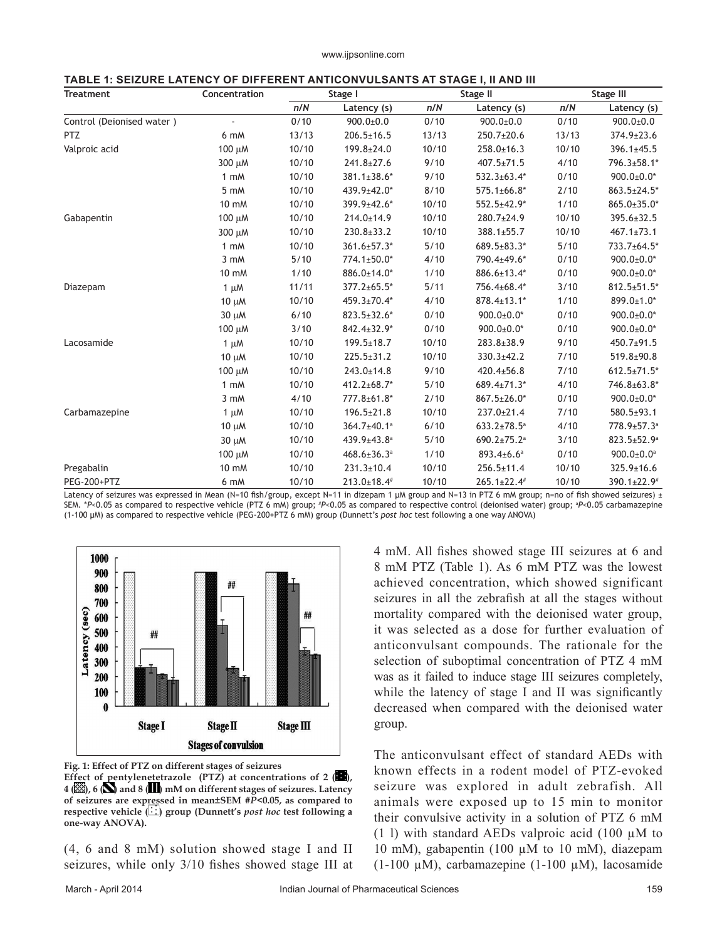|--|

| <b>Treatment</b>          | Concentration     | Stage I |                               | Stage II |                               | Stage III |                              |
|---------------------------|-------------------|---------|-------------------------------|----------|-------------------------------|-----------|------------------------------|
|                           |                   | n/N     | Latency (s)                   | n/N      | Latency (s)                   | n/N       | Latency (s)                  |
| Control (Deionised water) |                   | 0/10    | $900.0 \pm 0.0$               | 0/10     | $900.0 \pm 0.0$               | 0/10      | $900.0 \pm 0.0$              |
| <b>PTZ</b>                | 6 mM              | 13/13   | $206.5 \pm 16.5$              | 13/13    | 250.7±20.6                    | 13/13     | 374.9±23.6                   |
| Valproic acid             | 100 μM            | 10/10   | $199.8 \pm 24.0$              | 10/10    | $258.0 \pm 16.3$              | 10/10     | $396.1 \pm 45.5$             |
|                           | 300 μM            | 10/10   | $241.8 \pm 27.6$              | 9/10     | $407.5 \pm 71.5$              | 4/10      | 796.3±58.1*                  |
|                           | 1 mM              | 10/10   | 381.1±38.6*                   | 9/10     | 532.3±63.4*                   | 0/10      | $900.0 \pm 0.0^*$            |
|                           | 5 mM              | 10/10   | 439.9±42.0*                   | 8/10     | $575.1 \pm 66.8^*$            | 2/10      | $863.5 \pm 24.5^*$           |
|                           | 10 mM             | 10/10   | 399.9±42.6*                   | 10/10    | 552.5±42.9*                   | 1/10      | $865.0 \pm 35.0^*$           |
| Gabapentin                | $100 \mu M$       | 10/10   | $214.0 \pm 14.9$              | 10/10    | 280.7±24.9                    | 10/10     | 395.6±32.5                   |
|                           | 300 µM            | 10/10   | $230.8 \pm 33.2$              | 10/10    | 388.1±55.7                    | 10/10     | $467.1 \pm 73.1$             |
|                           | $1 \text{ mM}$    | 10/10   | 361.6±57.3*                   | $5/10$   | $689.5 \pm 83.3*$             | $5/10$    | 733.7±64.5*                  |
|                           | 3 mM              | 5/10    | 774.1±50.0*                   | 4/10     | 790.4±49.6*                   | 0/10      | $900.0 \pm 0.0^*$            |
|                           | 10 mM             | 1/10    | 886.0±14.0*                   | 1/10     | 886.6±13.4*                   | 0/10      | $900.0 \pm 0.0^*$            |
| Diazepam                  | $1 \mu M$         | 11/11   | 377.2±65.5*                   | 5/11     | 756.4±68.4*                   | 3/10      | $812.5 \pm 51.5^*$           |
|                           | $10 \mu M$        | 10/10   | 459.3±70.4*                   | 4/10     | 878.4±13.1*                   | 1/10      | 899.0±1.0*                   |
|                           | 30 µM             | 6/10    | $823.5 \pm 32.6*$             | 0/10     | $900.0 \pm 0.0^*$             | 0/10      | $900.0 \pm 0.0^*$            |
|                           | 100 μM            | 3/10    | 842.4±32.9*                   | 0/10     | $900.0 \pm 0.0^*$             | 0/10      | $900.0 \pm 0.0^*$            |
| Lacosamide                | $1 \mu M$         | 10/10   | $199.5 \pm 18.7$              | 10/10    | $283.8 \pm 38.9$              | 9/10      | $450.7 + 91.5$               |
|                           | $10 \mu M$        | 10/10   | $225.5 \pm 31.2$              | 10/10    | $330.3 \pm 42.2$              | 7/10      | 519.8±90.8                   |
|                           | $100 \mu M$       | 10/10   | $243.0 \pm 14.8$              | 9/10     | $420.4 \pm 56.8$              | 7/10      | $612.5 \pm 71.5^*$           |
|                           | $1 \, \text{m}$ M | 10/10   | 412.2±68.7*                   | $5/10$   | 689.4±71.3*                   | 4/10      | 746.8±63.8*                  |
|                           | 3 mM              | 4/10    | 777.8±61.8*                   | 2/10     | $867.5 \pm 26.0^*$            | 0/10      | $900.0 \pm 0.0^*$            |
| Carbamazepine             | $1 \mu M$         | 10/10   | $196.5 \pm 21.8$              | 10/10    | 237.0±21.4                    | 7/10      | 580.5±93.1                   |
|                           | $10 \mu M$        | 10/10   | 364.7±40.1 <sup>a</sup>       | 6/10     | $633.2 \pm 78.5^{\circ}$      | 4/10      | 778.9±57.3 <sup>a</sup>      |
|                           | 30 µM             | 10/10   | 439.9±43.8 <sup>a</sup>       | $5/10$   | $690.2 \pm 75.2$ <sup>a</sup> | 3/10      | $823.5 \pm 52.9^{\circ}$     |
|                           | $100 \mu M$       | 10/10   | $468.6 \pm 36.3$ <sup>a</sup> | 1/10     | $893.4{\pm}6.6^a$             | 0/10      | $900.0 \pm 0.0$ <sup>a</sup> |
| Pregabalin                | 10 mM             | 10/10   | $231.3 \pm 10.4$              | 10/10    | 256.5±11.4                    | 10/10     | 325.9±16.6                   |
| PEG-200+PTZ               | 6 mM              | 10/10   | $213.0 \pm 18.4^{\#}$         | 10/10    | $265.1 \pm 22.4$ #            | 10/10     | 390.1±22.9#                  |

Latency of seizures was expressed in Mean (N=10 fish/group, except N=11 in dizepam 1 μM group and N=13 in PTZ 6 mM group; n=no of fish showed seizures) ± SEM. \**P*<0.05 as compared to respective vehicle (PTZ 6 mM) group; # *P*<0.05 as compared to respective control (deionised water) group; a *P*<0.05 carbamazepine (1‑100 μM) as compared to respective vehicle (PEG‑200+PTZ 6 mM) group (Dunnett's *post hoc* test following a one way ANOVA)



**Fig. 1: Effect of PTZ on different stages of seizures Effect of pentylenetetrazole (PTZ) at concentrations of 2 (<b>DE**), **4 ( ), 6 ( ) and 8 ( ) mM on different stages of seizures. Latency of seizures are expressed in mean±SEM #***P***<0.05, as compared to respective vehicle ( ) group (Dunnett's** *post hoc* **test following a one-way ANOVA).**

(4, 6 and 8 mM) solution showed stage I and II seizures, while only 3/10 fishes showed stage III at 4 mM. All fishes showed stage III seizures at 6 and 8 mM PTZ (Table 1). As 6 mM PTZ was the lowest achieved concentration, which showed significant seizures in all the zebrafish at all the stages without mortality compared with the deionised water group, it was selected as a dose for further evaluation of anticonvulsant compounds. The rationale for the selection of suboptimal concentration of PTZ 4 mM was as it failed to induce stage III seizures completely, while the latency of stage I and II was significantly decreased when compared with the deionised water group.

The anticonvulsant effect of standard AEDs with known effects in a rodent model of PTZ-evoked seizure was explored in adult zebrafish. All animals were exposed up to 15 min to monitor their convulsive activity in a solution of PTZ 6 mM (1 l) with standard AEDs valproic acid (100  $\mu$ M to 10 mM), gabapentin (100 µM to 10 mM), diazepam (1-100 µM), carbamazepine (1-100 µM), lacosamide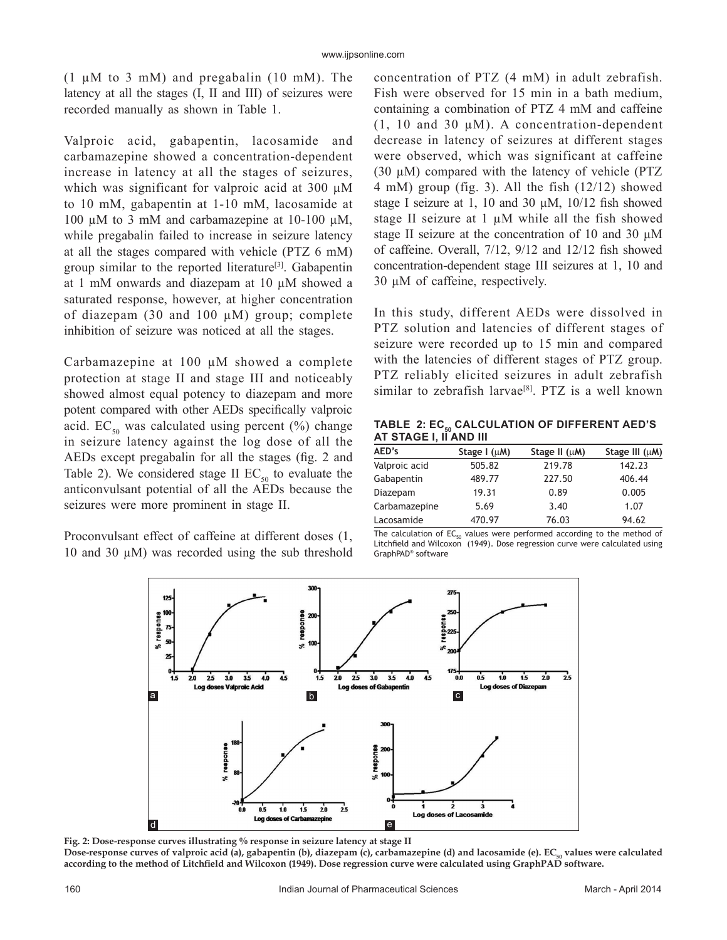(1  $\mu$ M to 3 mM) and pregabalin (10 mM). The latency at all the stages (I, II and III) of seizures were recorded manually as shown in Table 1.

Valproic acid, gabapentin, lacosamide and carbamazepine showed a concentration-dependent increase in latency at all the stages of seizures, which was significant for valproic acid at 300  $\mu$ M to 10 mM, gabapentin at 1-10 mM, lacosamide at 100 µM to 3 mM and carbamazepine at 10-100 µM, while pregabalin failed to increase in seizure latency at all the stages compared with vehicle (PTZ 6 mM) group similar to the reported literature<sup>[3]</sup>. Gabapentin at 1 mM onwards and diazepam at 10 µM showed a saturated response, however, at higher concentration of diazepam (30 and 100  $\mu$ M) group; complete inhibition of seizure was noticed at all the stages.

Carbamazepine at 100 µM showed a complete protection at stage II and stage III and noticeably showed almost equal potency to diazepam and more potent compared with other AEDs specifically valproic acid. EC<sub>50</sub> was calculated using percent (%) change in seizure latency against the log dose of all the AEDs except pregabalin for all the stages (fig. 2 and Table 2). We considered stage II  $EC_{50}$  to evaluate the anticonvulsant potential of all the AEDs because the seizures were more prominent in stage II.

Proconvulsant effect of caffeine at different doses (1, 10 and 30  $\mu$ M) was recorded using the sub threshold concentration of PTZ (4 mM) in adult zebrafish. Fish were observed for 15 min in a bath medium, containing a combination of PTZ 4 mM and caffeine  $(1, 10 \text{ and } 30 \text{ }\mu\text{M})$ . A concentration-dependent decrease in latency of seizures at different stages were observed, which was significant at caffeine (30 µM) compared with the latency of vehicle (PTZ 4 mM) group (fig. 3). All the fish (12/12) showed stage I seizure at 1, 10 and 30  $\mu$ M, 10/12 fish showed stage II seizure at 1  $\mu$ M while all the fish showed stage II seizure at the concentration of 10 and 30 µM of caffeine. Overall, 7/12, 9/12 and 12/12 fish showed concentration-dependent stage III seizures at 1, 10 and 30 µM of caffeine, respectively.

In this study, different AEDs were dissolved in PTZ solution and latencies of different stages of seizure were recorded up to 15 min and compared with the latencies of different stages of PTZ group. PTZ reliably elicited seizures in adult zebrafish similar to zebrafish larvae<sup>[8]</sup>. PTZ is a well known

TABLE 2: EC<sub>50</sub> CALCULATION OF DIFFERENT AED'S **AT STAGE I, II AND III**

| AED's         | Stage $I(\mu M)$ | Stage II $(\mu M)$ | Stage III $(\mu M)$ |
|---------------|------------------|--------------------|---------------------|
| Valproic acid | 505.82           | 219.78             | 142.23              |
| Gabapentin    | 489.77           | 227.50             | 406.44              |
| Diazepam      | 19.31            | 0.89               | 0.005               |
| Carbamazepine | 5.69             | 3.40               | 1.07                |
| Lacosamide    | 470.97           | 76.03              | 94.62               |

The calculation of  $EC_{50}$  values were performed according to the method of Litchfield and Wilcoxon (1949). Dose regression curve were calculated using GraphPAD® software



**Fig. 2: Dose-response curves illustrating % response in seizure latency at stage II** Dose-response curves of valproic acid (a), gabapentin (b), diazepam (c), carbamazepine (d) and lacosamide (e). EC<sub>50</sub> values were calculated **according to the method of Litchfield and Wilcoxon (1949). Dose regression curve were calculated using GraphPAD software.**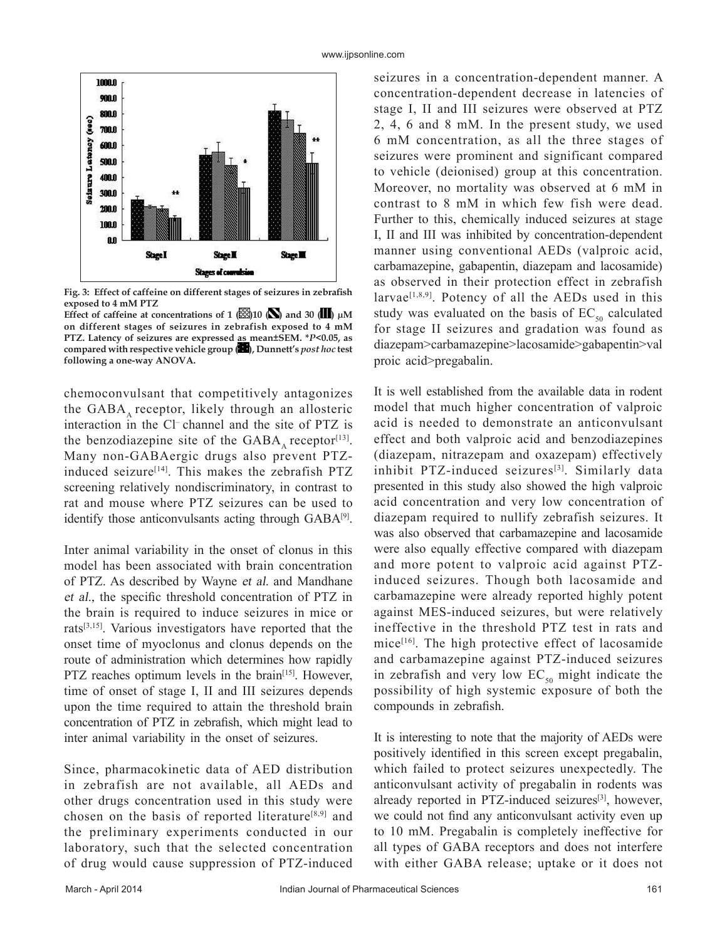

**Fig. 3: Effect of caffeine on different stages of seizures in zebrafish exposed to 4 mM PTZ** 

Effect of caffeine at concentrations of 1  $\mathbb{E}[10 \times 100]$  and 30  $\mathbb{H}$  µM **on different stages of seizures in zebrafish exposed to 4 mM PTZ. Latency of seizures are expressed as mean±SEM. \****P***<0.05, as compared with respective vehicle group ( ), Dunnett's** *post hoc* **test following a one-way ANOVA.**

chemoconvulsant that competitively antagonizes the  $GABA$  receptor, likely through an allosteric interaction in the Cl– channel and the site of PTZ is the benzodiazepine site of the  $GABA$  receptor<sup>[13]</sup>. Many non-GABAergic drugs also prevent PTZinduced seizure<sup>[14]</sup>. This makes the zebrafish  $PTZ$ screening relatively nondiscriminatory, in contrast to rat and mouse where PTZ seizures can be used to identify those anticonvulsants acting through GABA<sup>[9]</sup>.

Inter animal variability in the onset of clonus in this model has been associated with brain concentration of PTZ. As described by Wayne et al. and Mandhane et al., the specific threshold concentration of PTZ in the brain is required to induce seizures in mice or rats[3,15]. Various investigators have reported that the onset time of myoclonus and clonus depends on the route of administration which determines how rapidly PTZ reaches optimum levels in the brain<sup>[15]</sup>. However, time of onset of stage I, II and III seizures depends upon the time required to attain the threshold brain concentration of PTZ in zebrafish, which might lead to inter animal variability in the onset of seizures.

Since, pharmacokinetic data of AED distribution in zebrafish are not available, all AEDs and other drugs concentration used in this study were chosen on the basis of reported literature<sup>[8,9]</sup> and the preliminary experiments conducted in our laboratory, such that the selected concentration of drug would cause suppression of PTZ-induced

seizures in a concentration-dependent manner. A concentration-dependent decrease in latencies of stage I, II and III seizures were observed at PTZ 2, 4, 6 and 8 mM. In the present study, we used 6 mM concentration, as all the three stages of seizures were prominent and significant compared to vehicle (deionised) group at this concentration. Moreover, no mortality was observed at 6 mM in contrast to 8 mM in which few fish were dead. Further to this, chemically induced seizures at stage I, II and III was inhibited by concentration-dependent manner using conventional AEDs (valproic acid, carbamazepine, gabapentin, diazepam and lacosamide) as observed in their protection effect in zebrafish larvae<sup>[1,8,9]</sup>. Potency of all the AEDs used in this study was evaluated on the basis of  $EC_{50}$  calculated for stage II seizures and gradation was found as diazepam>carbamazepine>lacosamide>gabapentin>val proic acid>pregabalin.

It is well established from the available data in rodent model that much higher concentration of valproic acid is needed to demonstrate an anticonvulsant effect and both valproic acid and benzodiazepines (diazepam, nitrazepam and oxazepam) effectively inhibit PTZ-induced seizures<sup>[3]</sup>. Similarly data presented in this study also showed the high valproic acid concentration and very low concentration of diazepam required to nullify zebrafish seizures. It was also observed that carbamazepine and lacosamide were also equally effective compared with diazepam and more potent to valproic acid against PTZinduced seizures. Though both lacosamide and carbamazepine were already reported highly potent against MES-induced seizures, but were relatively ineffective in the threshold PTZ test in rats and mice[16]. The high protective effect of lacosamide and carbamazepine against PTZ-induced seizures in zebrafish and very low  $EC_{50}$  might indicate the possibility of high systemic exposure of both the compounds in zebrafish.

It is interesting to note that the majority of AEDs were positively identified in this screen except pregabalin, which failed to protect seizures unexpectedly. The anticonvulsant activity of pregabalin in rodents was already reported in PTZ-induced seizures<sup>[3]</sup>, however, we could not find any anticonvulsant activity even up to 10 mM. Pregabalin is completely ineffective for all types of GABA receptors and does not interfere with either GABA release; uptake or it does not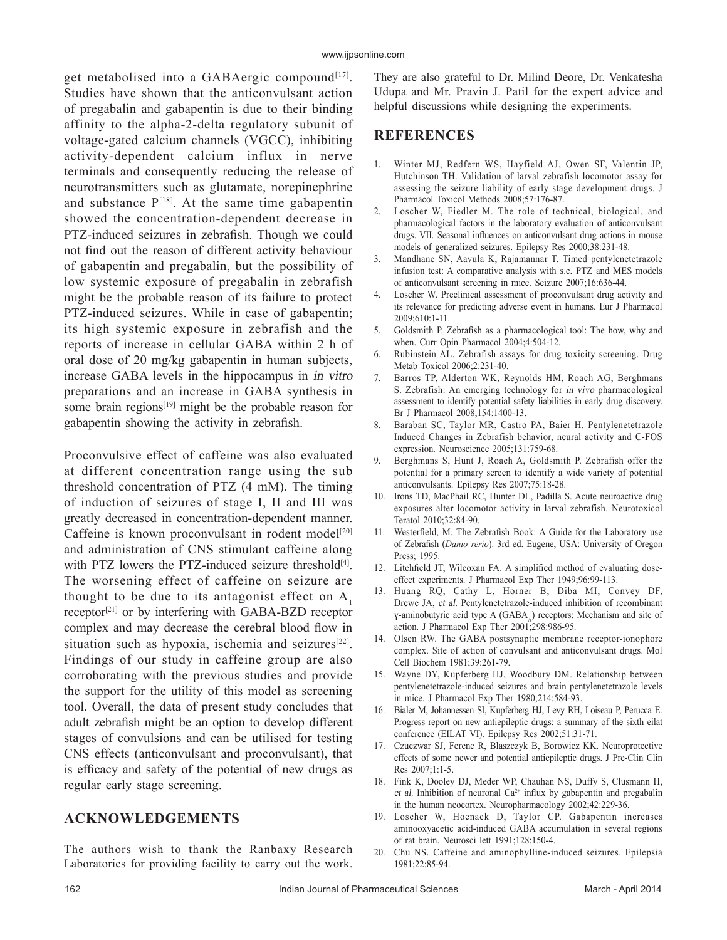get metabolised into a GABAergic compound<sup>[17]</sup>. Studies have shown that the anticonvulsant action of pregabalin and gabapentin is due to their binding affinity to the alpha-2-delta regulatory subunit of voltage-gated calcium channels (VGCC), inhibiting activity-dependent calcium influx in nerve terminals and consequently reducing the release of neurotransmitters such as glutamate, norepinephrine and substance  $P^{[18]}$ . At the same time gabapentin showed the concentration-dependent decrease in PTZ-induced seizures in zebrafish. Though we could not find out the reason of different activity behaviour of gabapentin and pregabalin, but the possibility of low systemic exposure of pregabalin in zebrafish might be the probable reason of its failure to protect PTZ-induced seizures. While in case of gabapentin; its high systemic exposure in zebrafish and the reports of increase in cellular GABA within 2 h of oral dose of 20 mg/kg gabapentin in human subjects, increase GABA levels in the hippocampus in in vitro preparations and an increase in GABA synthesis in some brain regions<sup>[19]</sup> might be the probable reason for gabapentin showing the activity in zebrafish.

Proconvulsive effect of caffeine was also evaluated at different concentration range using the sub threshold concentration of PTZ (4 mM). The timing of induction of seizures of stage I, II and III was greatly decreased in concentration-dependent manner. Caffeine is known proconvulsant in rodent model<sup>[20]</sup> and administration of CNS stimulant caffeine along with PTZ lowers the PTZ-induced seizure threshold $[4]$ . The worsening effect of caffeine on seizure are thought to be due to its antagonist effect on  $A<sub>1</sub>$ receptor<sup>[21]</sup> or by interfering with GABA-BZD receptor complex and may decrease the cerebral blood flow in situation such as hypoxia, ischemia and seizures $[22]$ . Findings of our study in caffeine group are also corroborating with the previous studies and provide the support for the utility of this model as screening tool. Overall, the data of present study concludes that adult zebrafish might be an option to develop different stages of convulsions and can be utilised for testing CNS effects (anticonvulsant and proconvulsant), that is efficacy and safety of the potential of new drugs as regular early stage screening.

## **ACKNOWLEDGEMENTS**

The authors wish to thank the Ranbaxy Research Laboratories for providing facility to carry out the work.

They are also grateful to Dr. Milind Deore, Dr. Venkatesha Udupa and Mr. Pravin J. Patil for the expert advice and helpful discussions while designing the experiments.

## **REFERENCES**

- 1. Winter MJ, Redfern WS, Hayfield AJ, Owen SF, Valentin JP, Hutchinson TH. Validation of larval zebrafish locomotor assay for assessing the seizure liability of early stage development drugs. J Pharmacol Toxicol Methods 2008;57:176-87.
- 2. Loscher W, Fiedler M. The role of technical, biological, and pharmacological factors in the laboratory evaluation of anticonvulsant drugs. VII. Seasonal influences on anticonvulsant drug actions in mouse models of generalized seizures. Epilepsy Res 2000;38:231-48.
- 3. Mandhane SN, Aavula K, Rajamannar T. Timed pentylenetetrazole infusion test: A comparative analysis with s.c. PTZ and MES models of anticonvulsant screening in mice. Seizure 2007;16:636-44.
- 4. Loscher W. Preclinical assessment of proconvulsant drug activity and its relevance for predicting adverse event in humans. Eur J Pharmacol 2009;610:1-11.
- 5. Goldsmith P. Zebrafish as a pharmacological tool: The how, why and when. Curr Opin Pharmacol 2004;4:504-12.
- Rubinstein AL. Zebrafish assays for drug toxicity screening. Drug Metab Toxicol 2006;2:231-40.
- 7. Barros TP, Alderton WK, Reynolds HM, Roach AG, Berghmans S. Zebrafish: An emerging technology for in vivo pharmacological assessment to identify potential safety liabilities in early drug discovery. Br J Pharmacol 2008;154:1400-13.
- 8. Baraban SC, Taylor MR, Castro PA, Baier H. Pentylenetetrazole Induced Changes in Zebrafish behavior, neural activity and C-FOS expression. Neuroscience 2005;131:759-68.
- 9. Berghmans S, Hunt J, Roach A, Goldsmith P. Zebrafish offer the potential for a primary screen to identify a wide variety of potential anticonvulsants. Epilepsy Res 2007;75:18-28.
- 10. Irons TD, MacPhail RC, Hunter DL, Padilla S. Acute neuroactive drug exposures alter locomotor activity in larval zebrafish. Neurotoxicol Teratol 2010;32:84-90.
- 11. Westerfield, M. The Zebrafish Book: A Guide for the Laboratory use of Zebrafish (*Danio rerio*). 3rd ed. Eugene, USA: University of Oregon Press; 1995.
- 12. Litchfield JT, Wilcoxan FA. A simplified method of evaluating doseeffect experiments. J Pharmacol Exp Ther 1949;96:99-113.
- 13. Huang RQ, Cathy L, Horner B, Diba MI, Convey DF, Drewe JA, et al. Pentylenetetrazole-induced inhibition of recombinant γ-aminobutyric acid type A (GABA) receptors: Mechanism and site of action. J Pharmacol Exp Ther 2001;298:986-95.
- 14. Olsen RW. The GABA postsynaptic membrane receptor-ionophore complex. Site of action of convulsant and anticonvulsant drugs. Mol Cell Biochem 1981;39:261-79.
- 15. Wayne DY, Kupferberg HJ, Woodbury DM. Relationship between pentylenetetrazole-induced seizures and brain pentylenetetrazole levels in mice. J Pharmacol Exp Ther 1980;214:584-93.
- 16. Bialer M, Johannessen SI, Kupferberg HJ, Levy RH, Loiseau P, Perucca E. Progress report on new antiepileptic drugs: a summary of the sixth eilat conference (EILAT VI). Epilepsy Res 2002;51:31-71.
- 17. Czuczwar SJ, Ferenc R, Blaszczyk B, Borowicz KK. Neuroprotective effects of some newer and potential antiepileptic drugs. J Pre-Clin Clin Res 2007;1:1-5.
- 18. Fink K, Dooley DJ, Meder WP, Chauhan NS, Duffy S, Clusmann H, et al. Inhibition of neuronal  $Ca^{2+}$  influx by gabapentin and pregabalin in the human neocortex. Neuropharmacology 2002;42:229-36.
- 19. Loscher W, Hoenack D, Taylor CP. Gabapentin increases aminooxyacetic acid-induced GABA accumulation in several regions of rat brain. Neurosci lett 1991;128:150-4.
- 20. Chu NS. Caffeine and aminophylline-induced seizures. Epilepsia 1981;22:85-94.